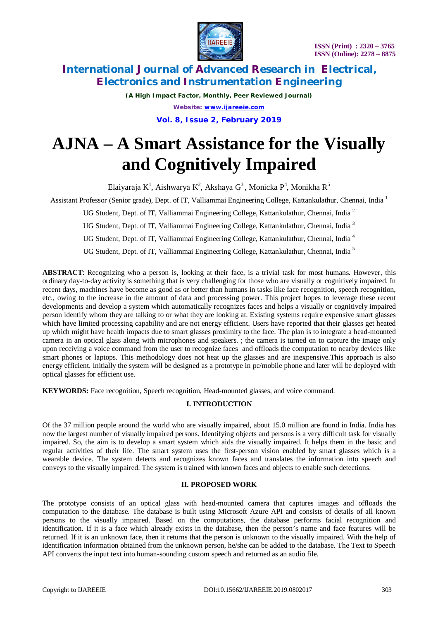

*(A High Impact Factor, Monthly, Peer Reviewed Journal) Website: [www.ijareeie.com](http://www.ijareeie.com)* **Vol. 8, Issue 2, February 2019**

# **AJNA – A Smart Assistance for the Visually and Cognitively Impaired**

Elaiyaraja K $^1$ , Aishwarya K $^2$ , Akshaya G $^3$ , Monicka P $^4$ , Monikha R $^5$ 

Assistant Professor (Senior grade), Dept. of IT, Valliammai Engineering College, Kattankulathur, Chennai, India <sup>1</sup>

UG Student, Dept. of IT, Valliammai Engineering College, Kattankulathur, Chennai, India<sup>2</sup>

UG Student, Dept. of IT, Valliammai Engineering College, Kattankulathur, Chennai, India<sup>3</sup>

UG Student, Dept. of IT, Valliammai Engineering College, Kattankulathur, Chennai, India <sup>4</sup>

UG Student, Dept. of IT, Valliammai Engineering College, Kattankulathur, Chennai, India<sup>5</sup>

**ABSTRACT**: Recognizing who a person is, looking at their face, is a trivial task for most humans. However, this ordinary day-to-day activity is something that is very challenging for those who are visually or cognitively impaired. In recent days, machines have become as good as or better than humans in tasks like face recognition, speech recognition, etc., owing to the increase in the amount of data and processing power. This project hopes to leverage these recent developments and develop a system which automatically recognizes faces and helps a visually or cognitively impaired person identify whom they are talking to or what they are looking at. Existing systems require expensive smart glasses which have limited processing capability and are not energy efficient. Users have reported that their glasses get heated up which might have health impacts due to smart glasses proximity to the face. The plan is to integrate a head-mounted camera in an optical glass along with microphones and speakers. ; the camera is turned on to capture the image only upon receiving a voice command from the user to recognize faces and offloads the computation to nearby devices like smart phones or laptops. This methodology does not heat up the glasses and are inexpensive.This approach is also energy efficient. Initially the system will be designed as a prototype in pc/mobile phone and later will be deployed with optical glasses for efficient use.

**KEYWORDS:** Face recognition, Speech recognition, Head-mounted glasses, and voice command.

#### **I. INTRODUCTION**

Of the 37 million people around the world who are visually impaired, about 15.0 million are found in India. India has now the largest number of visually impaired persons. Identifying objects and persons is a very difficult task for visually impaired. So, the aim is to develop a smart system which aids the visually impaired. It helps them in the basic and regular activities of their life. The smart system uses the first-person vision enabled by smart glasses which is a wearable device. The system detects and recognizes known faces and translates the information into speech and conveys to the visually impaired. The system is trained with known faces and objects to enable such detections.

#### **II. PROPOSED WORK**

The prototype consists of an optical glass with head-mounted camera that captures images and offloads the computation to the database. The database is built using Microsoft Azure API and consists of details of all known persons to the visually impaired. Based on the computations, the database performs facial recognition and identification. If it is a face which already exists in the database, then the person's name and face features will be returned. If it is an unknown face, then it returns that the person is unknown to the visually impaired. With the help of identification information obtained from the unknown person, he/she can be added to the database. The Text to Speech API converts the input text into human-sounding custom speech and returned as an audio file.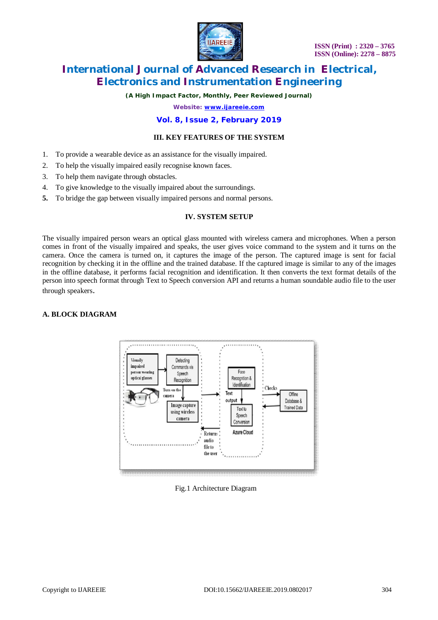

*(A High Impact Factor, Monthly, Peer Reviewed Journal)*

*Website: [www.ijareeie.com](http://www.ijareeie.com)*

#### **Vol. 8, Issue 2, February 2019**

#### **III. KEY FEATURES OF THE SYSTEM**

- 1. To provide a wearable device as an assistance for the visually impaired.
- 2. To help the visually impaired easily recognise known faces.
- 3. To help them navigate through obstacles.
- 4. To give knowledge to the visually impaired about the surroundings.
- **5.** To bridge the gap between visually impaired persons and normal persons.

#### **IV. SYSTEM SETUP**

The visually impaired person wears an optical glass mounted with wireless camera and microphones. When a person comes in front of the visually impaired and speaks, the user gives voice command to the system and it turns on the camera. Once the camera is turned on, it captures the image of the person. The captured image is sent for facial recognition by checking it in the offline and the trained database. If the captured image is similar to any of the images in the offline database, it performs facial recognition and identification. It then converts the text format details of the person into speech format through Text to Speech conversion API and returns a human soundable audio file to the user through speakers.

#### **A. BLOCK DIAGRAM**



#### Fig.1 Architecture Diagram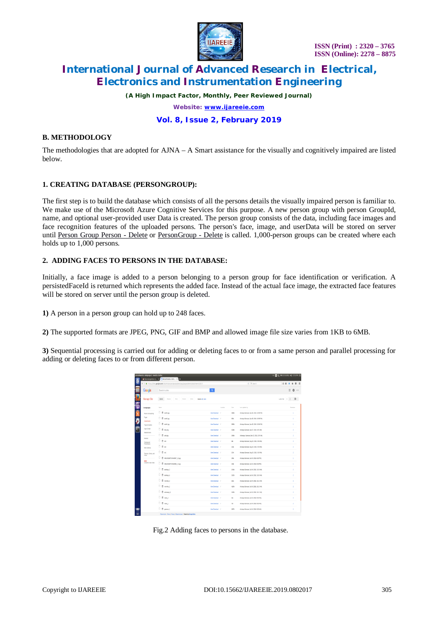

*(A High Impact Factor, Monthly, Peer Reviewed Journal)*

*Website: [www.ijareeie.com](http://www.ijareeie.com)*

#### **Vol. 8, Issue 2, February 2019**

#### **B. METHODOLOGY**

The methodologies that are adopted for AJNA – A Smart assistance for the visually and cognitively impaired are listed below.

#### **1. CREATING DATABASE (PERSONGROUP):**

The first step is to build the database which consists of all the persons details the visually impaired person is familiar to. We make use of the Microsoft Azure Cognitive Services for this purpose. A new person group with person GroupId, name, and optional user-provided user Data is created. The person group consists of the data, including face images and face recognition features of the uploaded persons. The person's face, image, and userData will be stored on server until Person Group Person - Delete or PersonGroup - Delete is called. 1,000-person groups can be created where each holds up to 1,000 persons.

#### **2. ADDING FACES TO PERSONS IN THE DATABASE:**

Initially, a face image is added to a person belonging to a person group for face identification or verification. A persistedFaceId is returned which represents the added face. Instead of the actual face image, the extracted face features will be stored on server until the person group is deleted.

**1)** A person in a person group can hold up to 248 faces.

**2)** The supported formats are JPEG, PNG, GIF and BMP and allowed image file size varies from 1KB to 6MB.

**3)** Sequential processing is carried out for adding or deleting faces to or from a same person and parallel processing for adding or deleting faces to or from different person.

|        | Attachments - miniproject - Mozilla Firefox                                                   |                                                                                |                       |          |             | → 图 & 图 (215 BH) 4 (1215 PM B             |                             |
|--------|-----------------------------------------------------------------------------------------------|--------------------------------------------------------------------------------|-----------------------|----------|-------------|-------------------------------------------|-----------------------------|
| O<br>b | € © ● https://sites.google.com/site/ininiprojectajna/system/app/papes/admin/attachments/pli=1 |                                                                                |                       |          |             | $e \sqrt{q}$ Search                       | $\sigma$ =<br>立自            |
|        | Google                                                                                        | Search my sites                                                                | $\mathbf{q}$          |          |             |                                           | $\mathbb{R}$ 0 $\mathbb{R}$ |
|        | Manage Site                                                                                   | Uplead<br><b>Boys</b><br>Redes<br><b>Reserve</b><br>Didelo<br>Select all (rare |                       |          |             |                                           | 120ml ( ) 章。                |
|        | (miniproject                                                                                  | Norve                                                                          |                       | Location | 527         | Lest updated by                           | <b>Teytology</b>            |
|        | Recent site activity                                                                          | $0.8$ antis                                                                    | View Doumbad /        |          | 13396       | Aishaya Garesan (Jan 29, 2019; 10:05 PM)  | ÷                           |
|        | Pages<br>Atachmets                                                                            | <b>□ 目 antas</b>                                                               | View Doumbad /        |          | 33x         | Aishaya Garesan (Jan 28, 2019, 10:05:PM)  | t.                          |
|        | Page templates                                                                                | □ 目 amap                                                                       | View Doumboad /       |          | 2006        | Aishaya Garesan (Jan 29, 2019: 10:05 PM)  | ×.                          |
| ⊺      | Asta Scripts<br>Deleted Borro                                                                 | $0.8$ asspec                                                                   | View Doumboad /       |          | 15996       | Aishqu Garesan (Jan 27, 2019, 6:17 AM)    | $\mathbf{z}$                |
|        | Central<br>Storing and<br>Pembatro                                                            | □ 目 ango                                                                       | View Download /       |          | 1696        | Aishwarya Ganesan (Jan 22, 2019, 2:57 AM) | $\mathbf{z}$                |
|        |                                                                                               | 0.8m                                                                           | View Doumboad /       |          | 640         | Aishaya Ganesan (Aug 30, 2018, 9:56 PM)   | $\overline{\mathbf{z}}$     |
|        | Wo Address                                                                                    | 0.84                                                                           | View Doumbad /        |          | 213t        | Aishaya Ganesan (Aug 30, 2018, 956 PM)    | ż                           |
|        | Themes, Colors, and                                                                           | 0.8 <sub>st</sub>                                                              | View Doumboad /       |          | 157         | Aishaya Ganesan (Aug 30, 2018, 956 PM)    | $\overline{\mathbf{z}}$     |
|        | Forts<br>MW<br>Corvet to new Stes                                                             | □ 目 махаксымог_о.ру                                                            | View Doumboat /       |          | 33k         | Aishaya Garesan (Jul 24, 2018, 6:33 PM)   | t.                          |
|        |                                                                                               | □ □ махакизнном_п.ра                                                           | View Doumbad /        |          | 1091        | Alchaya Garesan (Jul 24, 2018, 6:33 PM)   | ٠                           |
|        |                                                                                               | <b>D</b> B assays                                                              | View Doumbad /        |          | <b>SASK</b> | Aishaya Ganesan (3d 24, 2018, 10:38 AM)   | $\mathbf{r}$                |
|        |                                                                                               | 0.88884                                                                        | View Doumbad /        |          | 1505        | Alchaya Garesan (3d 24, 2018, 10:38 AM)   | $\mathbf{2}$                |
|        |                                                                                               | <b>□ 目 months</b> 3                                                            | View Doumbad /        |          | 1624        | Akshaya Ganesan (3d 24, 2018, 33:13 AM)   | $\overline{2}$              |
|        |                                                                                               | $\Box$ $\Box$ months 2                                                         | View Download /       |          | 43300       | Aishaya Garesan (3d 24, 2018, 10:13 AM)   | $\mathbf{z}$                |
|        |                                                                                               | $0.8$ ashaya 1                                                                 | <b>View Doumbad /</b> |          | 2328        | Alchaya Garesan (3d 24, 2018, 3312 AM)    | $\overline{2}$              |
|        |                                                                                               | 0.8442                                                                         | View Doumboad /       |          | 430         | Aishaya Garesan (3d 24, 2018, 9:32 AW)    | $\overline{2}$              |
|        |                                                                                               | 0.8 m                                                                          | <b>View Doumbad /</b> |          | 72          | Alshaya Garesan (3d 24, 2018, 9:32 AW)    | $\mathbf{r}$                |
|        |                                                                                               | <sup>□</sup> 目 gwsan3                                                          | View Doumbad /        |          | 2023        | Aishaya Garesan (34 24, 2018, 9:28 AW)    | $\mathbf{z}$                |
|        |                                                                                               | Returnizate   Terms   Privacy   Report an boxe   <b>PowereDy Google Ste</b> s  |                       |          |             |                                           |                             |

Fig.2 Adding faces to persons in the database.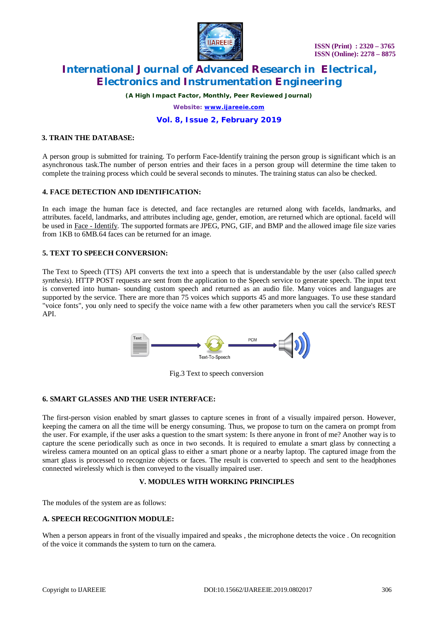

*(A High Impact Factor, Monthly, Peer Reviewed Journal)*

*Website: [www.ijareeie.com](http://www.ijareeie.com)*

#### **Vol. 8, Issue 2, February 2019**

#### **3. TRAIN THE DATABASE:**

A person group is submitted for training. To perform Face-Identify training the person group is significant which is an asynchronous task.The number of person entries and their faces in a person group will determine the time taken to complete the training process which could be several seconds to minutes. The training status can also be checked.

#### **4. FACE DETECTION AND IDENTIFICATION:**

In each image the human face is detected, and face rectangles are returned along with faceIds, landmarks, and attributes. faceId, landmarks, and attributes including age, gender, emotion, are returned which are optional. faceId will be used in Face - Identify. The supported formats are JPEG, PNG, GIF, and BMP and the allowed image file size varies from 1KB to 6MB.64 faces can be returned for an image.

#### **5. TEXT TO SPEECH CONVERSION:**

The Text to Speech (TTS) API converts the text into a speech that is understandable by the user (also called *speech synthesis*). HTTP POST requests are sent from the application to the Speech service to generate speech. The input text is converted into human- sounding custom speech and returned as an audio file. Many voices and languages are supported by the service. There are more than 75 voices which supports 45 and more languages. To use these standard "voice fonts", you only need to specify the voice name with a few other parameters when you call the service's REST API.



Fig.3 Text to speech conversion

#### **6. SMART GLASSES AND THE USER INTERFACE:**

The first-person vision enabled by smart glasses to capture scenes in front of a visually impaired person. However, keeping the camera on all the time will be energy consuming. Thus, we propose to turn on the camera on prompt from the user. For example, if the user asks a question to the smart system: Is there anyone in front of me? Another way is to capture the scene periodically such as once in two seconds. It is required to emulate a smart glass by connecting a wireless camera mounted on an optical glass to either a smart phone or a nearby laptop. The captured image from the smart glass is processed to recognize objects or faces. The result is converted to speech and sent to the headphones connected wirelessly which is then conveyed to the visually impaired user.

#### **V. MODULES WITH WORKING PRINCIPLES**

The modules of the system are as follows:

#### **A. SPEECH RECOGNITION MODULE:**

When a person appears in front of the visually impaired and speaks, the microphone detects the voice. On recognition of the voice it commands the system to turn on the camera.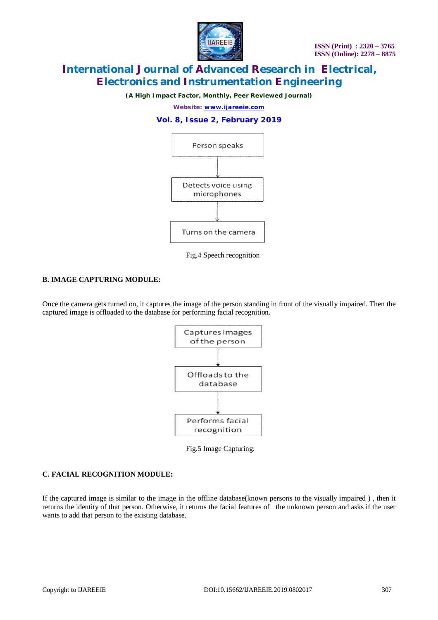

*(A High Impact Factor, Monthly, Peer Reviewed Journal)*

*Website: [www.ijareeie.com](http://www.ijareeie.com)*

#### **Vol. 8, Issue 2, February 2019**



Fig.4 Speech recognition

#### **B. IMAGE CAPTURING MODULE:**

Once the camera gets turned on, it captures the image of the person standing in front of the visually impaired. Then the captured image is offloaded to the database for performing facial recognition.



Fig.5 Image Capturing.

#### **C. FACIAL RECOGNITION MODULE:**

If the captured image is similar to the image in the offline database(known persons to the visually impaired ) , then it returns the identity of that person. Otherwise, it returns the facial features of the unknown person and asks if the user wants to add that person to the existing database.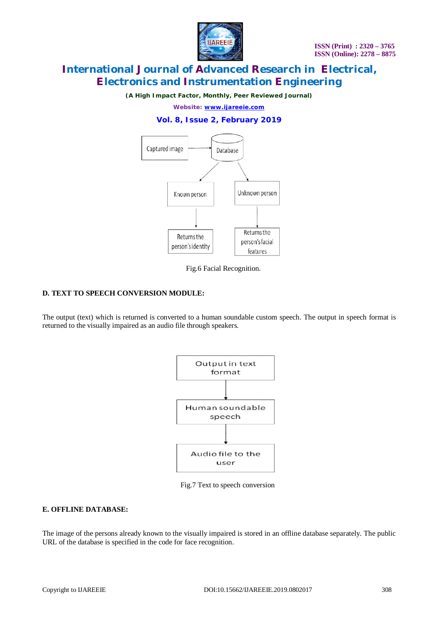**IIAREEIE** 

*(A High Impact Factor, Monthly, Peer Reviewed Journal)*

*Website: [www.ijareeie.com](http://www.ijareeie.com)*

### **Vol. 8, Issue 2, February 2019**



Fig.6 Facial Recognition.

### **D. TEXT TO SPEECH CONVERSION MODULE:**

The output (text) which is returned is converted to a human soundable custom speech. The output in speech format is returned to the visually impaired as an audio file through speakers.



Fig.7 Text to speech conversion

### **E. OFFLINE DATABASE:**

The image of the persons already known to the visually impaired is stored in an offline database separately. The public URL of the database is specified in the code for face recognition.